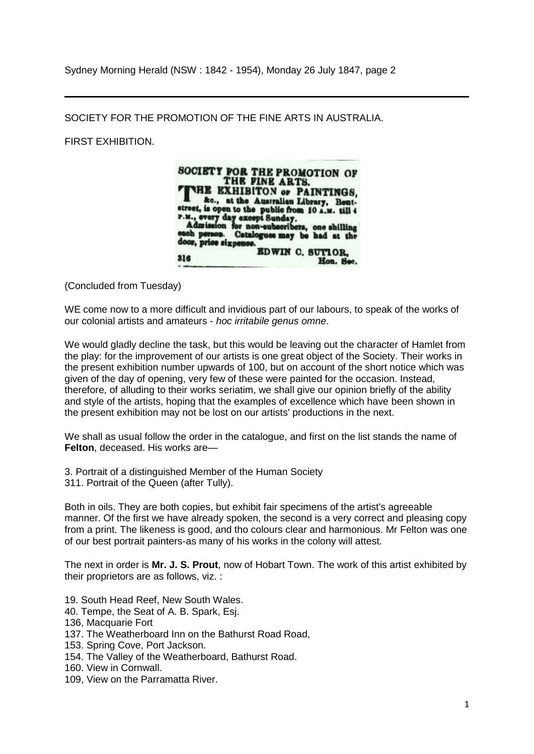Sydney Morning Herald (NSW : 1842 - 1954), Monday 26 July 1847, page 2

SOCIETY FOR THE PROMOTION OF THE FINE ARTS IN AUSTRALIA.

FIRST EXHIBITION.



(Concluded from Tuesday)

WE come now to a more difficult and invidious part of our labours, to speak of the works of our colonial artists and amateurs - *hoc irritabile genus omne*.

We would gladly decline the task, but this would be leaving out the character of Hamlet from the play: for the improvement of our artists is one great object of the Society. Their works in the present exhibition number upwards of 100, but on account of the short notice which was given of the day of opening, very few of these were painted for the occasion. Instead, therefore, of alluding to their works seriatim, we shall give our opinion briefly of the ability and style of the artists, hoping that the examples of excellence which have been shown in the present exhibition may not be lost on our artists' productions in the next.

We shall as usual follow the order in the catalogue, and first on the list stands the name of **Felton**, deceased. His works are—

3. Portrait of a distinguished Member of the Human Society 311. Portrait of the Queen (after Tully).

Both in oils. They are both copies, but exhibit fair specimens of the artist's agreeable manner. Of the first we have already spoken, the second is a very correct and pleasing copy from a print. The likeness is good, and tho colours clear and harmonious. Mr Felton was one of our best portrait painters-as many of his works in the colony will attest.

The next in order is **Mr. J. S. Prout**, now of Hobart Town. The work of this artist exhibited by their proprietors are as follows, viz. :

- 19. South Head Reef, New South Wales.
- 40. Tempe, the Seat of A. B. Spark, Esj.
- 136, Macquarie Fort
- 137. The Weatherboard Inn on the Bathurst Road Road,
- 153. Spring Cove, Port Jackson.
- 154. The Valley of the Weatherboard, Bathurst Road.
- 160. View in Cornwall.
- 109, View on the Parramatta River.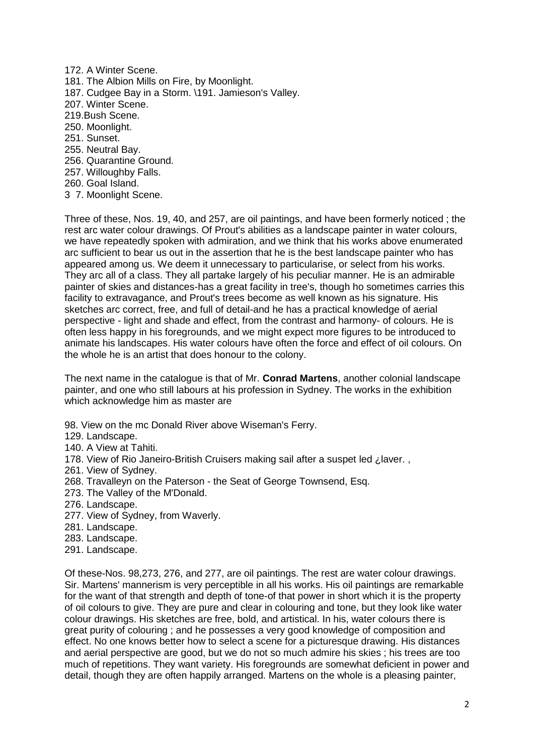172. A Winter Scene. 181. The Albion Mills on Fire, by Moonlight. 187. Cudgee Bay in a Storm. \191. Jamieson's Valley. 207. Winter Scene. 219.Bush Scene. 250. Moonlight. 251. Sunset. 255. Neutral Bay. 256. Quarantine Ground. 257. Willoughby Falls. 260. Goal Island. 3 7. Moonlight Scene.

Three of these, Nos. 19, 40, and 257, are oil paintings, and have been formerly noticed ; the rest arc water colour drawings. Of Prout's abilities as a landscape painter in water colours, we have repeatedly spoken with admiration, and we think that his works above enumerated arc sufficient to bear us out in the assertion that he is the best landscape painter who has appeared among us. We deem it unnecessary to particularise, or select from his works. They arc all of a class. They all partake largely of his peculiar manner. He is an admirable painter of skies and distances-has a great facility in tree's, though ho sometimes carries this facility to extravagance, and Prout's trees become as well known as his signature. His sketches arc correct, free, and full of detail-and he has a practical knowledge of aerial perspective - light and shade and effect, from the contrast and harmony- of colours. He is often less happy in his foregrounds, and we might expect more figures to be introduced to animate his landscapes. His water colours have often the force and effect of oil colours. On the whole he is an artist that does honour to the colony.

The next name in the catalogue is that of Mr. **Conrad Martens**, another colonial landscape painter, and one who still labours at his profession in Sydney. The works in the exhibition which acknowledge him as master are

98. View on the mc Donald River above Wiseman's Ferry.

- 129. Landscape.
- 140. A View at Tahiti.
- 178. View of Rio Janeiro-British Cruisers making sail after a suspet led ¿laver. ,
- 261. View of Sydney.
- 268. Travalleyn on the Paterson the Seat of George Townsend, Esq.
- 273. The Valley of the M'Donald.
- 276. Landscape.
- 277. View of Sydney, from Waverly.
- 281. Landscape.
- 283. Landscape.
- 291. Landscape.

Of these-Nos. 98,273, 276, and 277, are oil paintings. The rest are water colour drawings. Sir. Martens' mannerism is very perceptible in all his works. His oil paintings are remarkable for the want of that strength and depth of tone-of that power in short which it is the property of oil colours to give. They are pure and clear in colouring and tone, but they look like water colour drawings. His sketches are free, bold, and artistical. In his, water colours there is great purity of colouring ; and he possesses a very good knowledge of composition and effect. No one knows better how to select a scene for a picturesque drawing. His distances and aerial perspective are good, but we do not so much admire his skies ; his trees are too much of repetitions. They want variety. His foregrounds are somewhat deficient in power and detail, though they are often happily arranged. Martens on the whole is a pleasing painter,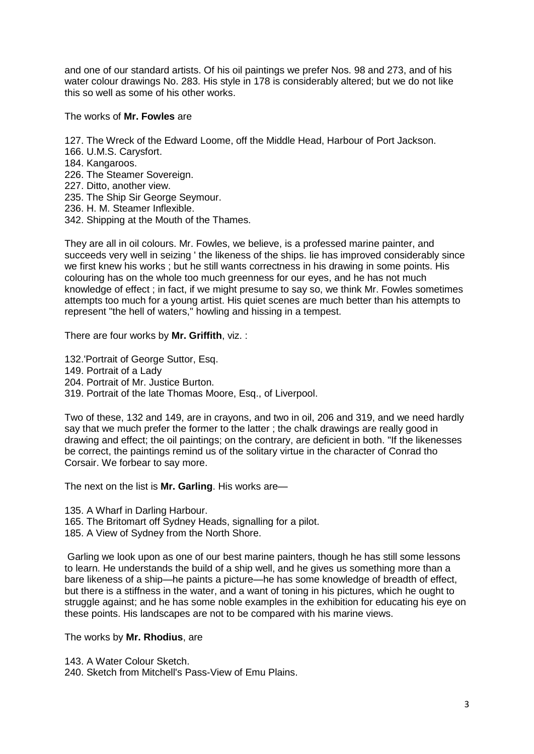and one of our standard artists. Of his oil paintings we prefer Nos. 98 and 273, and of his water colour drawings No. 283. His style in 178 is considerably altered; but we do not like this so well as some of his other works.

The works of **Mr. Fowles** are

- 127. The Wreck of the Edward Loome, off the Middle Head, Harbour of Port Jackson.
- 166. U.M.S. Carysfort.
- 184. Kangaroos.
- 226. The Steamer Sovereign.
- 227. Ditto, another view.
- 235. The Ship Sir George Seymour.
- 236. H. M. Steamer Inflexible.
- 342. Shipping at the Mouth of the Thames.

They are all in oil colours. Mr. Fowles, we believe, is a professed marine painter, and succeeds very well in seizing ' the likeness of the ships. lie has improved considerably since we first knew his works ; but he still wants correctness in his drawing in some points. His colouring has on the whole too much greenness for our eyes, and he has not much knowledge of effect ; in fact, if we might presume to say so, we think Mr. Fowles sometimes attempts too much for a young artist. His quiet scenes are much better than his attempts to represent "the hell of waters," howling and hissing in a tempest.

There are four works by **Mr. Griffith**, viz. :

132.'Portrait of George Suttor, Esq.

- 149. Portrait of a Lady
- 204. Portrait of Mr. Justice Burton.

319. Portrait of the late Thomas Moore, Esq., of Liverpool.

Two of these, 132 and 149, are in crayons, and two in oil, 206 and 319, and we need hardly say that we much prefer the former to the latter ; the chalk drawings are really good in drawing and effect; the oil paintings; on the contrary, are deficient in both. "If the likenesses be correct, the paintings remind us of the solitary virtue in the character of Conrad tho Corsair. We forbear to say more.

The next on the list is **Mr. Garling**. His works are—

135. A Wharf in Darling Harbour.

- 165. The Britomart off Sydney Heads, signalling for a pilot.
- 185. A View of Sydney from the North Shore.

Garling we look upon as one of our best marine painters, though he has still some lessons to learn. He understands the build of a ship well, and he gives us something more than a bare likeness of a ship—he paints a picture—he has some knowledge of breadth of effect, but there is a stiffness in the water, and a want of toning in his pictures, which he ought to struggle against; and he has some noble examples in the exhibition for educating his eye on these points. His landscapes are not to be compared with his marine views.

The works by **Mr. Rhodius**, are

143. A Water Colour Sketch.

240. Sketch from Mitchell's Pass-View of Emu Plains.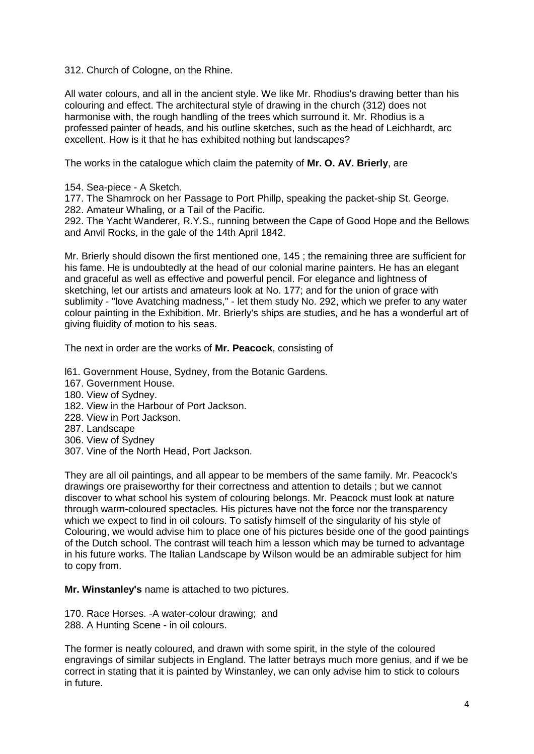312. Church of Cologne, on the Rhine.

All water colours, and all in the ancient style. We like Mr. Rhodius's drawing better than his colouring and effect. The architectural style of drawing in the church (312) does not harmonise with, the rough handling of the trees which surround it. Mr. Rhodius is a professed painter of heads, and his outline sketches, such as the head of Leichhardt, arc excellent. How is it that he has exhibited nothing but landscapes?

The works in the catalogue which claim the paternity of **Mr. O. AV. Brierly**, are

154. Sea-piece - A Sketch.

177. The Shamrock on her Passage to Port Phillp, speaking the packet-ship St. George. 282. Amateur Whaling, or a Tail of the Pacific.

292. The Yacht Wanderer, R.Y.S., running between the Cape of Good Hope and the Bellows and Anvil Rocks, in the gale of the 14th April 1842.

Mr. Brierly should disown the first mentioned one, 145 ; the remaining three are sufficient for his fame. He is undoubtedly at the head of our colonial marine painters. He has an elegant and graceful as well as effective and powerful pencil. For elegance and lightness of sketching, let our artists and amateurs look at No. 177; and for the union of grace with sublimity - "love Avatching madness," - let them study No. 292, which we prefer to any water colour painting in the Exhibition. Mr. Brierly's ships are studies, and he has a wonderful art of giving fluidity of motion to his seas.

The next in order are the works of **Mr. Peacock**, consisting of

l61. Government House, Sydney, from the Botanic Gardens.

- 167. Government House.
- 180. View of Sydney.
- 182. View in the Harbour of Port Jackson.
- 228. View in Port Jackson.
- 287. Landscape
- 306. View of Sydney
- 307. Vine of the North Head, Port Jackson.

They are all oil paintings, and all appear to be members of the same family. Mr. Peacock's drawings ore praiseworthy for their correctness and attention to details ; but we cannot discover to what school his system of colouring belongs. Mr. Peacock must look at nature through warm-coloured spectacles. His pictures have not the force nor the transparency which we expect to find in oil colours. To satisfy himself of the singularity of his style of Colouring, we would advise him to place one of his pictures beside one of the good paintings of the Dutch school. The contrast will teach him a lesson which may be turned to advantage in his future works. The Italian Landscape by Wilson would be an admirable subject for him to copy from.

**Mr. Winstanley's** name is attached to two pictures.

170. Race Horses. -A water-colour drawing; and 288. A Hunting Scene - in oil colours.

The former is neatly coloured, and drawn with some spirit, in the style of the coloured engravings of similar subjects in England. The latter betrays much more genius, and if we be correct in stating that it is painted by Winstanley, we can only advise him to stick to colours in future.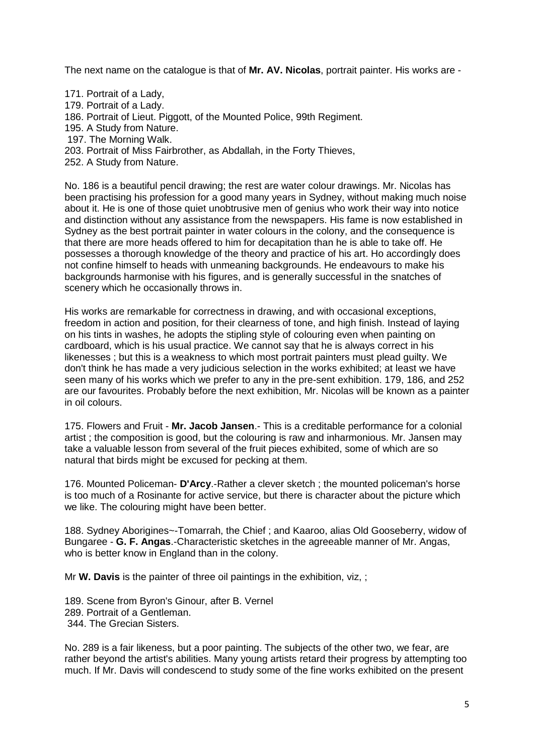The next name on the catalogue is that of **Mr. AV. Nicolas**, portrait painter. His works are -

- 171. Portrait of a Lady,
- 179. Portrait of a Lady.
- 186. Portrait of Lieut. Piggott, of the Mounted Police, 99th Regiment.
- 195. A Study from Nature.
- 197. The Morning Walk.
- 203. Portrait of Miss Fairbrother, as Abdallah, in the Forty Thieves,
- 252. A Study from Nature.

No. 186 is a beautiful pencil drawing; the rest are water colour drawings. Mr. Nicolas has been practising his profession for a good many years in Sydney, without making much noise about it. He is one of those quiet unobtrusive men of genius who work their way into notice and distinction without any assistance from the newspapers. His fame is now established in Sydney as the best portrait painter in water colours in the colony, and the consequence is that there are more heads offered to him for decapitation than he is able to take off. He possesses a thorough knowledge of the theory and practice of his art. Ho accordingly does not confine himself to heads with unmeaning backgrounds. He endeavours to make his backgrounds harmonise with his figures, and is generally successful in the snatches of scenery which he occasionally throws in.

His works are remarkable for correctness in drawing, and with occasional exceptions. freedom in action and position, for their clearness of tone, and high finish. Instead of laying on his tints in washes, he adopts the stipling style of colouring even when painting on cardboard, which is his usual practice. We cannot say that he is always correct in his likenesses ; but this is a weakness to which most portrait painters must plead guilty. We don't think he has made a very judicious selection in the works exhibited; at least we have seen many of his works which we prefer to any in the pre-sent exhibition. 179, 186, and 252 are our favourites. Probably before the next exhibition, Mr. Nicolas will be known as a painter in oil colours.

175. Flowers and Fruit - **Mr. Jacob Jansen**.- This is a creditable performance for a colonial artist ; the composition is good, but the colouring is raw and inharmonious. Mr. Jansen may take a valuable lesson from several of the fruit pieces exhibited, some of which are so natural that birds might be excused for pecking at them.

176. Mounted Policeman- **D'Arcy**.-Rather a clever sketch ; the mounted policeman's horse is too much of a Rosinante for active service, but there is character about the picture which we like. The colouring might have been better.

188. Sydney Aborigines~-Tomarrah, the Chief ; and Kaaroo, alias Old Gooseberry, widow of Bungaree - **G. F. Angas**.-Characteristic sketches in the agreeable manner of Mr. Angas, who is better know in England than in the colony.

Mr **W. Davis** is the painter of three oil paintings in the exhibition, viz, ;

189. Scene from Byron's Ginour, after B. Vernel 289. Portrait of a Gentleman. 344. The Grecian Sisters.

No. 289 is a fair likeness, but a poor painting. The subjects of the other two, we fear, are rather beyond the artist's abilities. Many young artists retard their progress by attempting too much. If Mr. Davis will condescend to study some of the fine works exhibited on the present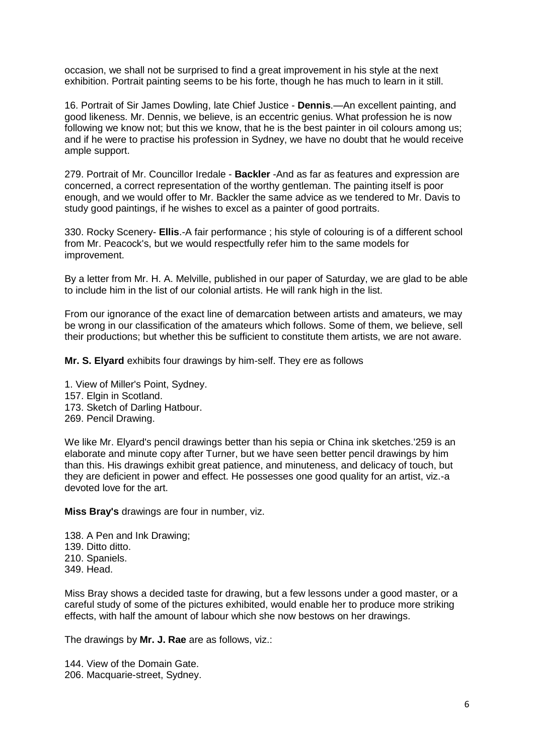occasion, we shall not be surprised to find a great improvement in his style at the next exhibition. Portrait painting seems to be his forte, though he has much to learn in it still.

16. Portrait of Sir James Dowling, late Chief Justice - **Dennis**.—An excellent painting, and good likeness. Mr. Dennis, we believe, is an eccentric genius. What profession he is now following we know not; but this we know, that he is the best painter in oil colours among us; and if he were to practise his profession in Sydney, we have no doubt that he would receive ample support.

279. Portrait of Mr. Councillor Iredale - **Backler** -And as far as features and expression are concerned, a correct representation of the worthy gentleman. The painting itself is poor enough, and we would offer to Mr. Backler the same advice as we tendered to Mr. Davis to study good paintings, if he wishes to excel as a painter of good portraits.

330. Rocky Scenery- **Ellis**.-A fair performance ; his style of colouring is of a different school from Mr. Peacock's, but we would respectfully refer him to the same models for improvement.

By a letter from Mr. H. A. Melville, published in our paper of Saturday, we are glad to be able to include him in the list of our colonial artists. He will rank high in the list.

From our ignorance of the exact line of demarcation between artists and amateurs, we may be wrong in our classification of the amateurs which follows. Some of them, we believe, sell their productions; but whether this be sufficient to constitute them artists, we are not aware.

**Mr. S. Elyard** exhibits four drawings by him-self. They ere as follows

1. View of Miller's Point, Sydney. 157. Elgin in Scotland. 173. Sketch of Darling Hatbour. 269. Pencil Drawing.

We like Mr. Elyard's pencil drawings better than his sepia or China ink sketches.'259 is an elaborate and minute copy after Turner, but we have seen better pencil drawings by him than this. His drawings exhibit great patience, and minuteness, and delicacy of touch, but they are deficient in power and effect. He possesses one good quality for an artist, viz.-a devoted love for the art.

**Miss Bray's** drawings are four in number, viz.

138. A Pen and Ink Drawing; 139. Ditto ditto. 210. Spaniels. 349. Head.

Miss Bray shows a decided taste for drawing, but a few lessons under a good master, or a careful study of some of the pictures exhibited, would enable her to produce more striking effects, with half the amount of labour which she now bestows on her drawings.

The drawings by **Mr. J. Rae** are as follows, viz.:

144. View of the Domain Gate. 206. Macquarie-street, Sydney.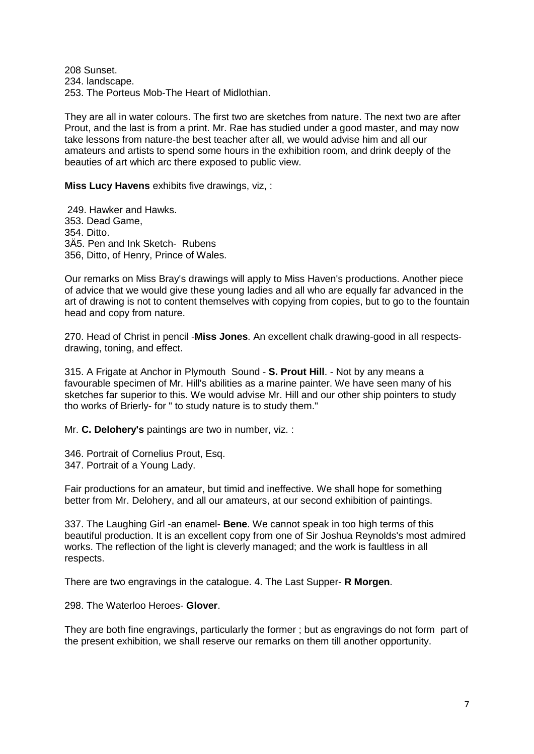208 Sunset. 234. landscape. 253. The Porteus Mob-The Heart of Midlothian.

They are all in water colours. The first two are sketches from nature. The next two are after Prout, and the last is from a print. Mr. Rae has studied under a good master, and may now take lessons from nature-the best teacher after all, we would advise him and all our amateurs and artists to spend some hours in the exhibition room, and drink deeply of the beauties of art which arc there exposed to public view.

**Miss Lucy Havens** exhibits five drawings, viz, :

249. Hawker and Hawks. 353. Dead Game, 354. Ditto. 3Ä5. Pen and Ink Sketch- Rubens 356, Ditto, of Henry, Prince of Wales.

Our remarks on Miss Bray's drawings will apply to Miss Haven's productions. Another piece of advice that we would give these young ladies and all who are equally far advanced in the art of drawing is not to content themselves with copying from copies, but to go to the fountain head and copy from nature.

270. Head of Christ in pencil -**Miss Jones**. An excellent chalk drawing-good in all respectsdrawing, toning, and effect.

315. A Frigate at Anchor in Plymouth Sound - **S. Prout Hill**. - Not by any means a favourable specimen of Mr. Hill's abilities as a marine painter. We have seen many of his sketches far superior to this. We would advise Mr. Hill and our other ship pointers to study tho works of Brierly- for " to study nature is to study them."

Mr. **C. Delohery's** paintings are two in number, viz. :

346. Portrait of Cornelius Prout, Esq. 347. Portrait of a Young Lady.

Fair productions for an amateur, but timid and ineffective. We shall hope for something better from Mr. Delohery, and all our amateurs, at our second exhibition of paintings.

337. The Laughing Girl -an enamel- **Bene**. We cannot speak in too high terms of this beautiful production. It is an excellent copy from one of Sir Joshua Reynolds's most admired works. The reflection of the light is cleverly managed; and the work is faultless in all respects.

There are two engravings in the catalogue. 4. The Last Supper- **R Morgen**.

298. The Waterloo Heroes- **Glover**.

They are both fine engravings, particularly the former ; but as engravings do not form part of the present exhibition, we shall reserve our remarks on them till another opportunity.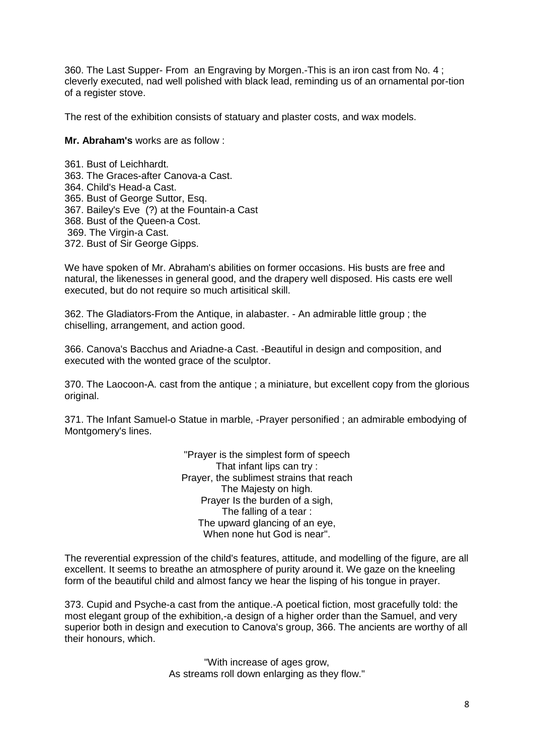360. The Last Supper- From an Engraving by Morgen.-This is an iron cast from No. 4 ; cleverly executed, nad well polished with black lead, reminding us of an ornamental por-tion of a register stove.

The rest of the exhibition consists of statuary and plaster costs, and wax models.

**Mr. Abraham's** works are as follow :

361. Bust of Leichhardt. 363. The Graces-after Canova-a Cast. 364. Child's Head-a Cast. 365. Bust of George Suttor, Esq. 367. Bailey's Eve (?) at the Fountain-a Cast 368. Bust of the Queen-a Cost. 369. The Virgin-a Cast. 372. Bust of Sir George Gipps.

We have spoken of Mr. Abraham's abilities on former occasions. His busts are free and natural, the likenesses in general good, and the drapery well disposed. His casts ere well executed, but do not require so much artisitical skill.

362. The Gladiators-From the Antique, in alabaster. - An admirable little group ; the chiselling, arrangement, and action good.

366. Canova's Bacchus and Ariadne-a Cast. -Beautiful in design and composition, and executed with the wonted grace of the sculptor.

370. The Laocoon-A. cast from the antique ; a miniature, but excellent copy from the glorious original.

371. The Infant Samuel-o Statue in marble, -Prayer personified ; an admirable embodying of Montgomery's lines.

> "Prayer is the simplest form of speech That infant lips can try : Prayer, the sublimest strains that reach The Majesty on high. Prayer Is the burden of a sigh, The falling of a tear : The upward glancing of an eye, When none hut God is near".

The reverential expression of the child's features, attitude, and modelling of the figure, are all excellent. It seems to breathe an atmosphere of purity around it. We gaze on the kneeling form of the beautiful child and almost fancy we hear the lisping of his tongue in prayer.

373. Cupid and Psyche-a cast from the antique.-A poetical fiction, most gracefully told: the most elegant group of the exhibition,-a design of a higher order than the Samuel, and very superior both in design and execution to Canova's group, 366. The ancients are worthy of all their honours, which.

> "With increase of ages grow, As streams roll down enlarging as they flow."